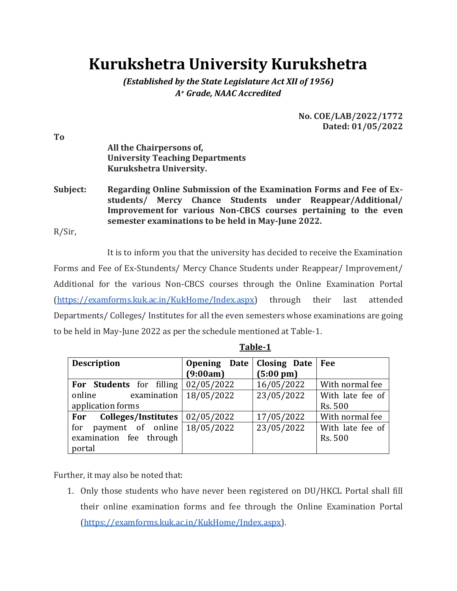# **Kurukshetra University Kurukshetra**

*(Established by the State Legislature Act XII of 1956) A<sup>+</sup> Grade, NAAC Accredited*

> **No. COE/LAB/2022/1772 Dated: 01/05/2022**

**All the Chairpersons of, University Teaching Departments Kurukshetra University.**

**Subject: Regarding Online Submission of the Examination Forms and Fee of Exstudents/ Mercy Chance Students under Reappear/Additional/ Improvement for various Non-CBCS courses pertaining to the even semester examinations to be held in May-June 2022.**

R/Sir,

It is to inform you that the university has decided to receive the Examination Forms and Fee of Ex-Stundents/ Mercy Chance Students under Reappear/ Improvement/ Additional for the various Non-CBCS courses through the Online Examination Portal [\(https://examforms.kuk.ac.in/KukHome/Index.aspx\)](https://examforms.kuk.ac.in/KukHome/Index.aspx) through their last attended Departments/ Colleges/ Institutes for all the even semesters whose examinations are going to be held in May-June 2022 as per the schedule mentioned at Table-1.

| <b>Description</b>                    | Opening Date | <b>Closing Date</b> | Fee              |
|---------------------------------------|--------------|---------------------|------------------|
|                                       | (9:00am)     | $(5:00 \text{ pm})$ |                  |
| For Students for filling              | 02/05/2022   | 16/05/2022          | With normal fee  |
| online<br>examination                 | 18/05/2022   | 23/05/2022          | With late fee of |
| application forms                     |              |                     | Rs. 500          |
| For Colleges/Institutes               | 02/05/2022   | 17/05/2022          | With normal fee  |
| payment of online $18/05/2022$<br>for |              | 23/05/2022          | With late fee of |
| examination fee through               |              |                     | Rs. 500          |
| portal                                |              |                     |                  |

**Table-1**

Further, it may also be noted that:

1. Only those students who have never been registered on DU/HKCL Portal shall fill their online examination forms and fee through the Online Examination Portal [\(https://examforms.kuk.ac.in/KukHome/Index.aspx\)](https://examforms.kuk.ac.in/KukHome/Index.aspx).

**To**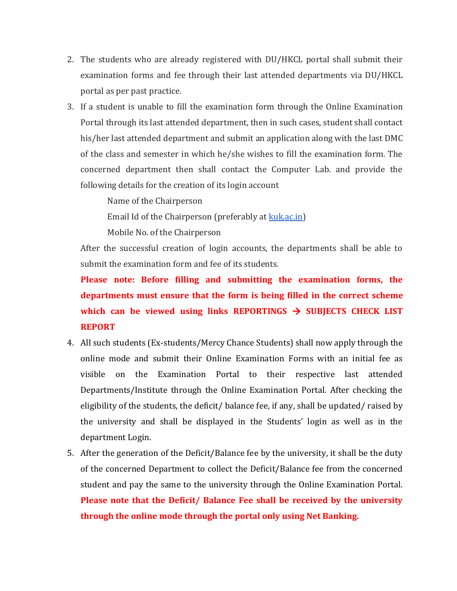- 2. The students who are already registered with DU/HKCL portal shall submit their examination forms and fee through their last attended departments via DU/HKCL portal as per past practice.
- 3. If a student is unable to fill the examination form through the Online Examination Portal through its last attended department, then in such cases, student shall contact his/her last attended department and submit an application along with the last DMC of the class and semester in which he/she wishes to fill the examination form. The concerned department then shall contact the Computer Lab. and provide the following details for the creation of its login account

Name of the Chairperson

Email Id of the Chairperson (preferably at [kuk.ac.in\)](http://kuk.ac.in/)

Mobile No. of the Chairperson

After the successful creation of login accounts, the departments shall be able to submit the examination form and fee of its students.

**Please note: Before filling and submitting the examination forms, the departments must ensure that the form is being filled in the correct scheme**  which can be viewed using links REPORTINGS  $\rightarrow$  SUBJECTS CHECK LIST **REPORT**

- 4. All such students (Ex-students/Mercy Chance Students) shall now apply through the online mode and submit their Online Examination Forms with an initial fee as visible on the Examination Portal to their respective last attended Departments/Institute through the Online Examination Portal. After checking the eligibility of the students, the deficit/ balance fee, if any, shall be updated/ raised by the university and shall be displayed in the Students' login as well as in the department Login.
- 5. After the generation of the Deficit/Balance fee by the university, it shall be the duty of the concerned Department to collect the Deficit/Balance fee from the concerned student and pay the same to the university through the Online Examination Portal. **Please note that the Deficit/ Balance Fee shall be received by the university through the online mode through the portal only using Net Banking.**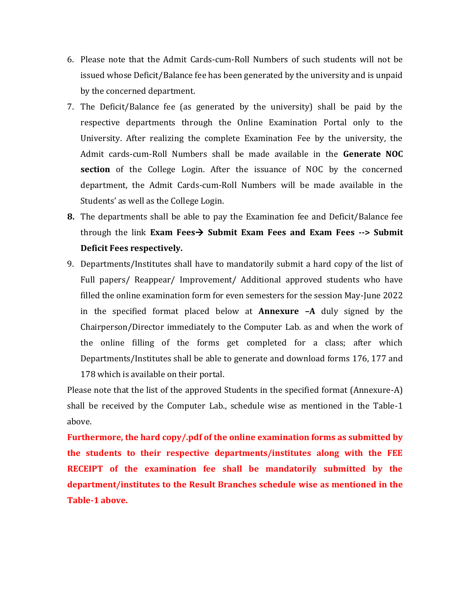- 6. Please note that the Admit Cards-cum-Roll Numbers of such students will not be issued whose Deficit/Balance fee has been generated by the university and is unpaid by the concerned department.
- 7. The Deficit/Balance fee (as generated by the university) shall be paid by the respective departments through the Online Examination Portal only to the University. After realizing the complete Examination Fee by the university, the Admit cards-cum-Roll Numbers shall be made available in the **Generate NOC section** of the College Login. After the issuance of NOC by the concerned department, the Admit Cards-cum-Roll Numbers will be made available in the Students' as well as the College Login.
- **8.** The departments shall be able to pay the Examination fee and Deficit/Balance fee through the link **Exam Fees Submit Exam Fees and Exam Fees --> Submit Deficit Fees respectively.**
- 9. Departments/Institutes shall have to mandatorily submit a hard copy of the list of Full papers/ Reappear/ Improvement/ Additional approved students who have filled the online examination form for even semesters for the session May-June 2022 in the specified format placed below at **Annexure –A** duly signed by the Chairperson/Director immediately to the Computer Lab. as and when the work of the online filling of the forms get completed for a class; after which Departments/Institutes shall be able to generate and download forms 176, 177 and 178 which is available on their portal.

Please note that the list of the approved Students in the specified format (Annexure-A) shall be received by the Computer Lab., schedule wise as mentioned in the Table-1 above.

**Furthermore, the hard copy/.pdf of the online examination forms as submitted by the students to their respective departments/institutes along with the FEE RECEIPT of the examination fee shall be mandatorily submitted by the department/institutes to the Result Branches schedule wise as mentioned in the Table-1 above.**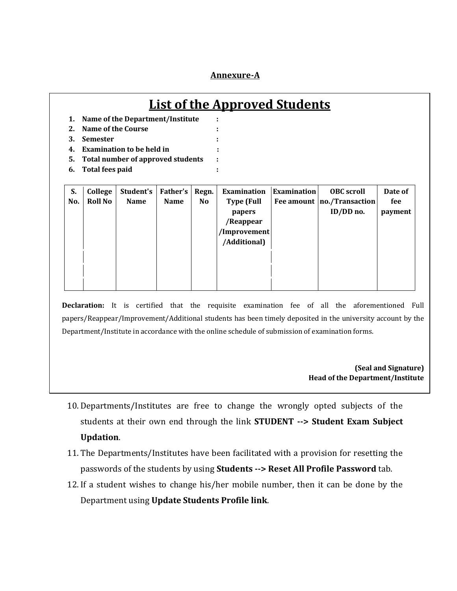### **Annexure-A**

## **List of the Approved Students**

- **1. Name of the Department/Institute :**
- **2. Name of the Course :**
- **3. Semester :**
- **4. Examination to be held in :**
- **5. Total number of approved students :**
- **6. Total fees paid :**

| S.  | College        | Student's   | Father's    | Regn.          | <b>Examination</b> | <b>Examination</b> | <b>OBC</b> scroll            | Date of |
|-----|----------------|-------------|-------------|----------------|--------------------|--------------------|------------------------------|---------|
| No. | <b>Roll No</b> | <b>Name</b> | <b>Name</b> | N <sub>o</sub> | <b>Type (Full</b>  |                    | Fee amount   no./Transaction | fee     |
|     |                |             |             |                | <b>papers</b>      |                    | ID/DD no.                    | payment |
|     |                |             |             |                | /Reappear          |                    |                              |         |
|     |                |             |             |                | /Improvement       |                    |                              |         |
|     |                |             |             |                | /Additional)       |                    |                              |         |
|     |                |             |             |                |                    |                    |                              |         |
|     |                |             |             |                |                    |                    |                              |         |
|     |                |             |             |                |                    |                    |                              |         |

**Declaration:** It is certified that the requisite examination fee of all the aforementioned Full papers/Reappear/Improvement/Additional students has been timely deposited in the university account by the Department/Institute in accordance with the online schedule of submission of examination forms.

#### **(Seal and Signature) Head of the Department/Institute**

- 10. Departments/Institutes are free to change the wrongly opted subjects of the students at their own end through the link **STUDENT --> Student Exam Subject Updation**.
- 11. The Departments/Institutes have been facilitated with a provision for resetting the passwords of the students by using **Students --> Reset All Profile Password** tab.
- 12. If a student wishes to change his/her mobile number, then it can be done by the Department using **Update Students Profile link**.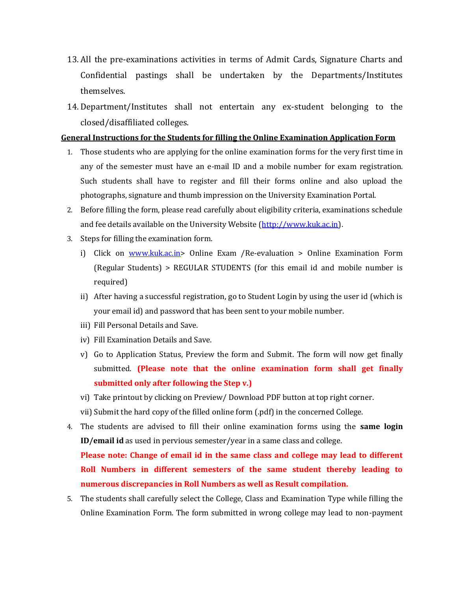- 13. All the pre-examinations activities in terms of Admit Cards, Signature Charts and Confidential pastings shall be undertaken by the Departments/Institutes themselves.
- 14. Department/Institutes shall not entertain any ex-student belonging to the closed/disaffiliated colleges.

### **General Instructions for the Students for filling the Online Examination Application Form**

- 1. Those students who are applying for the online examination forms for the very first time in any of the semester must have an e-mail ID and a mobile number for exam registration. Such students shall have to register and fill their forms online and also upload the photographs, signature and thumb impression on the University Examination Portal.
- 2. Before filling the form, please read carefully about eligibility criteria, examinations schedule and fee details available on the University Website [\(http://www.kuk.ac.in\)](http://www.kuk.ac.in/).
- 3. Steps for filling the examination form.
	- i) Click on [www.kuk.ac.in>](http://www.kuk.ac.in/) Online Exam /Re-evaluation > Online Examination Form (Regular Students) > REGULAR STUDENTS (for this email id and mobile number is required)
	- ii) After having a successful registration, go to Student Login by using the user id (which is your email id) and password that has been sent to your mobile number.
	- iii) Fill Personal Details and Save.
	- iv) Fill Examination Details and Save.
	- v) Go to Application Status, Preview the form and Submit. The form will now get finally submitted. **(Please note that the online examination form shall get finally submitted only after following the Step v.)**
	- vi) Take printout by clicking on Preview/ Download PDF button at top right corner.
	- vii) Submit the hard copy of the filled online form (.pdf) in the concerned College.
- 4. The students are advised to fill their online examination forms using the **same login ID/email id** as used in pervious semester/year in a same class and college.

**Please note: Change of email id in the same class and college may lead to different Roll Numbers in different semesters of the same student thereby leading to numerous discrepancies in Roll Numbers as well as Result compilation.**

5. The students shall carefully select the College, Class and Examination Type while filling the Online Examination Form. The form submitted in wrong college may lead to non-payment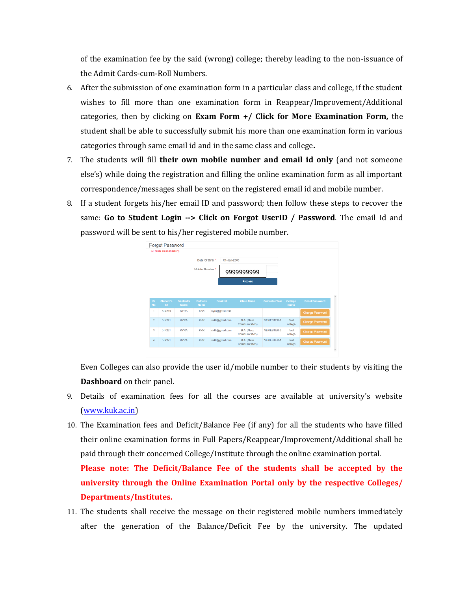of the examination fee by the said (wrong) college; thereby leading to the non-issuance of the Admit Cards-cum-Roll Numbers.

- 6. After the submission of one examination form in a particular class and college, if the student wishes to fill more than one examination form in Reappear/Improvement/Additional categories, then by clicking on **Exam Form +/ Click for More Examination Form,** the student shall be able to successfully submit his more than one examination form in various categories through same email id and in the same class and college**.**
- 7. The students will fill **their own mobile number and email id only** (and not someone else's) while doing the registration and filling the online examination form as all important correspondence/messages shall be sent on the registered email id and mobile number.
- 8. If a student forgets his/her email ID and password; then follow these steps to recover the same: **Go to Student Login --> Click on Forgot UserID / Password**. The email Id and password will be sent to his/her registered mobile number.



Even Colleges can also provide the user id/mobile number to their students by visiting the **Dashboard** on their panel.

- 9. Details of examination fees for all the courses are available at university's website [\(www.kuk.ac.in\)](http://www.kuk.ac.in/)
- 10. The Examination fees and Deficit/Balance Fee (if any) for all the students who have filled their online examination forms in Full Papers/Reappear/Improvement/Additional shall be paid through their concerned College/Institute through the online examination portal.

**Please note: The Deficit/Balance Fee of the students shall be accepted by the university through the Online Examination Portal only by the respective Colleges/ Departments/Institutes.** 

11. The students shall receive the message on their registered mobile numbers immediately after the generation of the Balance/Deficit Fee by the university. The updated